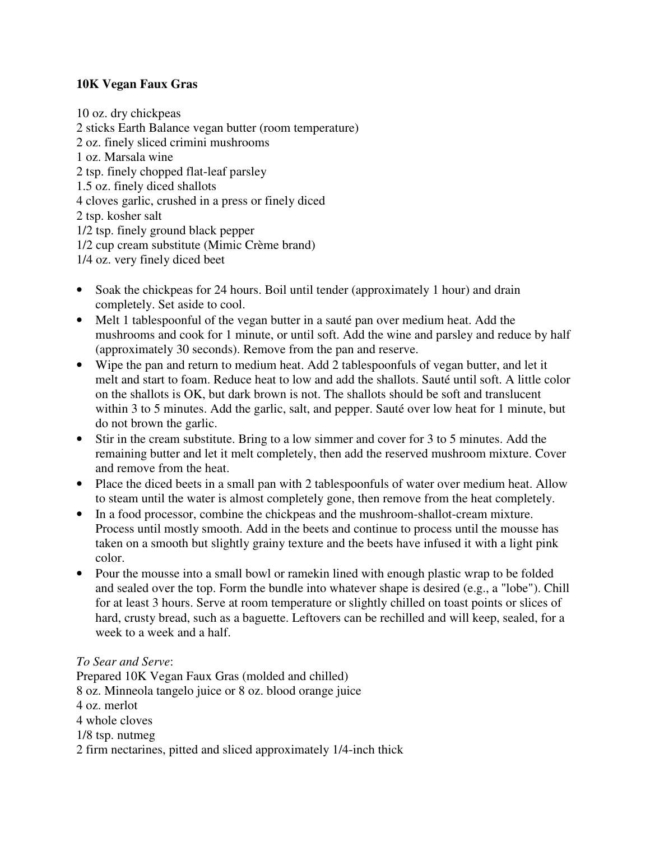## **10K Vegan Faux Gras**

10 oz. dry chickpeas 2 sticks Earth Balance vegan butter (room temperature) 2 oz. finely sliced crimini mushrooms 1 oz. Marsala wine 2 tsp. finely chopped flat-leaf parsley 1.5 oz. finely diced shallots 4 cloves garlic, crushed in a press or finely diced 2 tsp. kosher salt 1/2 tsp. finely ground black pepper 1/2 cup cream substitute (Mimic Crème brand) 1/4 oz. very finely diced beet

- Soak the chickpeas for 24 hours. Boil until tender (approximately 1 hour) and drain completely. Set aside to cool.
- Melt 1 tablespoonful of the vegan butter in a sauté pan over medium heat. Add the mushrooms and cook for 1 minute, or until soft. Add the wine and parsley and reduce by half (approximately 30 seconds). Remove from the pan and reserve.
- Wipe the pan and return to medium heat. Add 2 tablespoonfuls of vegan butter, and let it melt and start to foam. Reduce heat to low and add the shallots. Sauté until soft. A little color on the shallots is OK, but dark brown is not. The shallots should be soft and translucent within 3 to 5 minutes. Add the garlic, salt, and pepper. Sauté over low heat for 1 minute, but do not brown the garlic.
- Stir in the cream substitute. Bring to a low simmer and cover for 3 to 5 minutes. Add the remaining butter and let it melt completely, then add the reserved mushroom mixture. Cover and remove from the heat.
- Place the diced beets in a small pan with 2 tablespoonfuls of water over medium heat. Allow to steam until the water is almost completely gone, then remove from the heat completely.
- In a food processor, combine the chickpeas and the mushroom-shallot-cream mixture. Process until mostly smooth. Add in the beets and continue to process until the mousse has taken on a smooth but slightly grainy texture and the beets have infused it with a light pink color.
- Pour the mousse into a small bowl or ramekin lined with enough plastic wrap to be folded and sealed over the top. Form the bundle into whatever shape is desired (e.g., a "lobe"). Chill for at least 3 hours. Serve at room temperature or slightly chilled on toast points or slices of hard, crusty bread, such as a baguette. Leftovers can be rechilled and will keep, sealed, for a week to a week and a half.

## *To Sear and Serve*:

Prepared 10K Vegan Faux Gras (molded and chilled) 8 oz. Minneola tangelo juice or 8 oz. blood orange juice 4 oz. merlot 4 whole cloves 1/8 tsp. nutmeg 2 firm nectarines, pitted and sliced approximately 1/4-inch thick